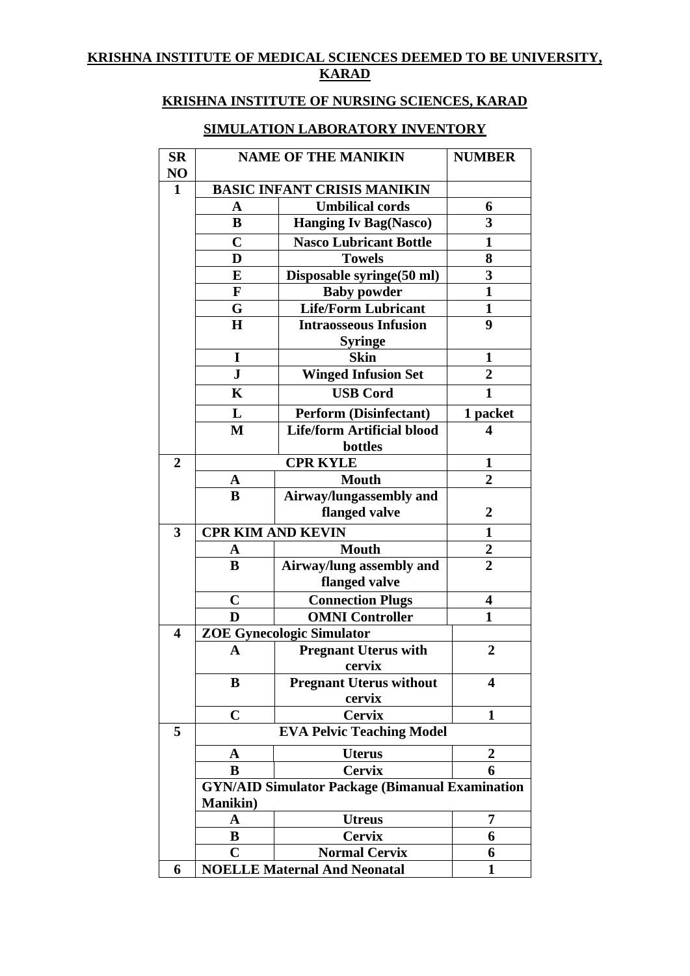## **KRISHNA INSTITUTE OF MEDICAL SCIENCES DEEMED TO BE UNIVERSITY, KARAD**

## **KRISHNA INSTITUTE OF NURSING SCIENCES, KARAD**

## **SIMULATION LABORATORY INVENTORY**

| <b>SR</b>               | <b>NAME OF THE MANIKIN</b>         |                                                        | <b>NUMBER</b>    |  |  |
|-------------------------|------------------------------------|--------------------------------------------------------|------------------|--|--|
| NO                      |                                    |                                                        |                  |  |  |
| $\mathbf{1}$            | <b>BASIC INFANT CRISIS MANIKIN</b> |                                                        |                  |  |  |
|                         | A                                  | <b>Umbilical cords</b>                                 | 6                |  |  |
|                         | B                                  | <b>Hanging Iv Bag(Nasco)</b>                           | 3                |  |  |
|                         | $\mathbf C$                        | <b>Nasco Lubricant Bottle</b>                          | 1                |  |  |
|                         | D                                  | <b>Towels</b>                                          | 8                |  |  |
|                         | E                                  | Disposable syringe(50 ml)                              | 3                |  |  |
|                         | $\mathbf{F}$                       | <b>Baby powder</b>                                     | $\mathbf{1}$     |  |  |
|                         | G                                  | <b>Life/Form Lubricant</b>                             | 1                |  |  |
|                         | $\bf H$                            | <b>Intraosseous Infusion</b>                           | 9                |  |  |
|                         |                                    | <b>Syringe</b>                                         |                  |  |  |
|                         | I                                  | <b>Skin</b>                                            | $\mathbf{1}$     |  |  |
|                         | ${\bf J}$                          | <b>Winged Infusion Set</b>                             | $\overline{2}$   |  |  |
|                         | K                                  | <b>USB Cord</b>                                        | $\mathbf{1}$     |  |  |
|                         | L                                  | <b>Perform (Disinfectant)</b>                          | 1 packet         |  |  |
|                         | M                                  | <b>Life/form Artificial blood</b>                      | 4                |  |  |
|                         |                                    | bottles                                                |                  |  |  |
| $\overline{2}$          |                                    | <b>CPR KYLE</b>                                        | 1                |  |  |
|                         | A                                  | <b>Mouth</b>                                           | $\overline{2}$   |  |  |
|                         | B                                  | Airway/lungassembly and                                |                  |  |  |
|                         |                                    | flanged valve                                          | $\overline{2}$   |  |  |
| 3                       | <b>CPR KIM AND KEVIN</b>           |                                                        | 1                |  |  |
|                         | A                                  | <b>Mouth</b>                                           | 2                |  |  |
|                         | B                                  | Airway/lung assembly and                               | $\overline{2}$   |  |  |
|                         |                                    | flanged valve                                          |                  |  |  |
|                         | $\mathbf C$                        | <b>Connection Plugs</b>                                | 4                |  |  |
|                         | D                                  | <b>OMNI Controller</b>                                 | 1                |  |  |
| $\overline{\mathbf{4}}$ | <b>ZOE Gynecologic Simulator</b>   |                                                        |                  |  |  |
|                         | A                                  | <b>Pregnant Uterus with</b>                            | $\boldsymbol{2}$ |  |  |
|                         |                                    | cervix                                                 |                  |  |  |
|                         | B                                  | <b>Pregnant Uterus without</b>                         | 4                |  |  |
|                         |                                    | cervix                                                 |                  |  |  |
|                         | $\mathbf C$                        | <b>Cervix</b>                                          | 1                |  |  |
| 5                       | <b>EVA Pelvic Teaching Model</b>   |                                                        |                  |  |  |
|                         | A                                  | <b>Uterus</b>                                          | $\overline{2}$   |  |  |
|                         | B                                  | <b>Cervix</b>                                          | 6                |  |  |
|                         |                                    | <b>GYN/AID Simulator Package (Bimanual Examination</b> |                  |  |  |
|                         | <b>Manikin</b> )                   |                                                        |                  |  |  |
|                         | A                                  | <b>Utreus</b>                                          | 7                |  |  |
|                         | B                                  | <b>Cervix</b>                                          | 6                |  |  |
|                         | $\mathbf C$                        | <b>Normal Cervix</b>                                   | 6                |  |  |
| 6                       |                                    | <b>NOELLE Maternal And Neonatal</b>                    | 1                |  |  |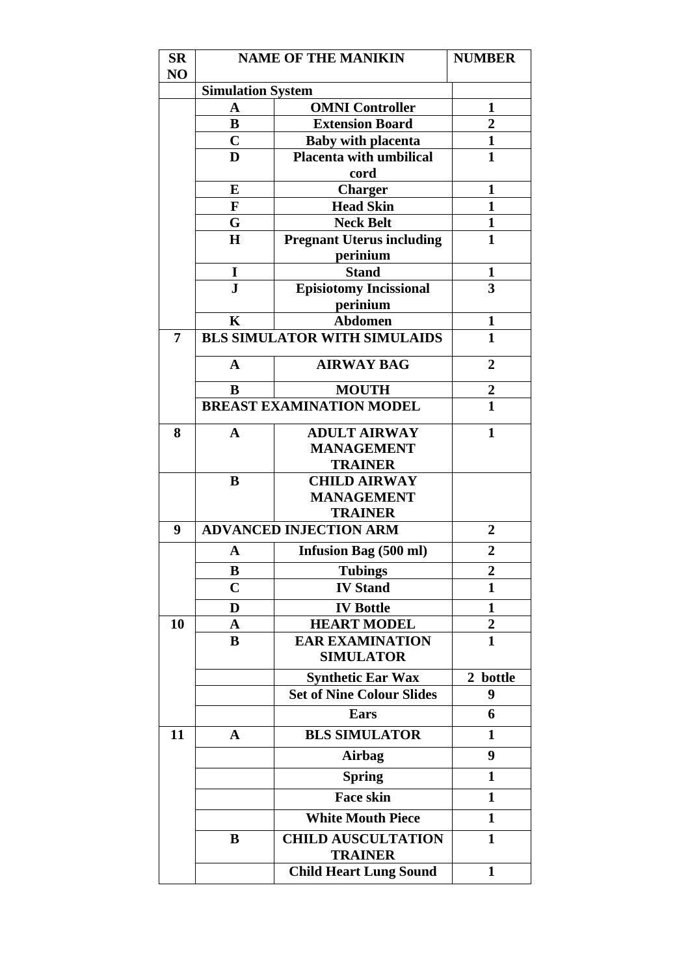| $S_{\mathbf{R}}$ | <b>NAME OF THE MANIKIN</b>    |                                                             | <b>NUMBER</b>       |  |  |
|------------------|-------------------------------|-------------------------------------------------------------|---------------------|--|--|
| NO               |                               |                                                             |                     |  |  |
|                  | <b>Simulation System</b>      |                                                             |                     |  |  |
|                  | A<br>B                        | <b>OMNI Controller</b><br><b>Extension Board</b>            | 1<br>$\overline{2}$ |  |  |
|                  | $\mathbf C$                   |                                                             | $\mathbf{1}$        |  |  |
|                  | D                             | <b>Baby with placenta</b><br><b>Placenta with umbilical</b> | $\mathbf{1}$        |  |  |
|                  |                               | cord                                                        |                     |  |  |
|                  | E                             | <b>Charger</b>                                              | $\mathbf{1}$        |  |  |
|                  | $\mathbf{F}$                  | <b>Head Skin</b>                                            | $\mathbf{1}$        |  |  |
|                  | G                             | <b>Neck Belt</b>                                            | $\mathbf{1}$        |  |  |
|                  | $\bf H$                       | <b>Pregnant Uterus including</b><br>perinium                | $\mathbf{1}$        |  |  |
|                  | I                             | <b>Stand</b>                                                | 1                   |  |  |
|                  | $\mathbf{J}$                  | <b>Episiotomy Incissional</b>                               | 3                   |  |  |
|                  |                               | perinium                                                    |                     |  |  |
|                  | $\mathbf K$                   | <b>Abdomen</b>                                              | $\mathbf{1}$        |  |  |
| 7                |                               | <b>BLS SIMULATOR WITH SIMULAIDS</b>                         | $\mathbf{1}$        |  |  |
|                  | $\mathbf A$                   | <b>AIRWAY BAG</b>                                           | $\overline{2}$      |  |  |
|                  | B                             | <b>MOUTH</b>                                                | $\boldsymbol{2}$    |  |  |
|                  |                               | <b>BREAST EXAMINATION MODEL</b>                             | $\mathbf{1}$        |  |  |
| 8                | $\mathbf{A}$                  | <b>ADULT AIRWAY</b>                                         | $\mathbf{1}$        |  |  |
|                  |                               | <b>MANAGEMENT</b>                                           |                     |  |  |
|                  |                               | <b>TRAINER</b>                                              |                     |  |  |
|                  | B                             | <b>CHILD AIRWAY</b>                                         |                     |  |  |
|                  |                               | <b>MANAGEMENT</b>                                           |                     |  |  |
|                  |                               | <b>TRAINER</b>                                              |                     |  |  |
| 9                | <b>ADVANCED INJECTION ARM</b> | $\overline{2}$                                              |                     |  |  |
|                  | A                             | <b>Infusion Bag (500 ml)</b>                                | $\overline{2}$      |  |  |
|                  | B                             | <b>Tubings</b>                                              | $\overline{2}$      |  |  |
|                  | $\mathbf C$                   | <b>IV Stand</b>                                             | $\mathbf{1}$        |  |  |
|                  | D                             | <b>IV Bottle</b>                                            | 1                   |  |  |
| 10               | A                             | <b>HEART MODEL</b>                                          | $\overline{2}$      |  |  |
|                  | B                             | <b>EAR EXAMINATION</b><br><b>SIMULATOR</b>                  | $\mathbf{1}$        |  |  |
|                  |                               | <b>Synthetic Ear Wax</b>                                    | 2 bottle            |  |  |
|                  |                               | <b>Set of Nine Colour Slides</b>                            | 9                   |  |  |
|                  |                               | Ears                                                        | 6                   |  |  |
| 11               | A                             | <b>BLS SIMULATOR</b>                                        | 1                   |  |  |
|                  |                               | Airbag                                                      | 9                   |  |  |
|                  |                               | <b>Spring</b>                                               | $\mathbf{1}$        |  |  |
|                  |                               | <b>Face skin</b>                                            | $\mathbf{1}$        |  |  |
|                  |                               | <b>White Mouth Piece</b>                                    | $\mathbf{1}$        |  |  |
|                  | B                             | <b>CHILD AUSCULTATION</b><br><b>TRAINER</b>                 | 1                   |  |  |
|                  |                               |                                                             |                     |  |  |